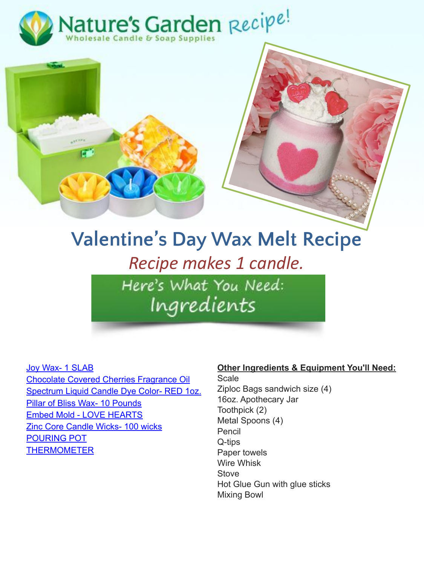



## **Valentine's Day Wax Melt Recipe** *Recipe makes 1 candle.*

Here's What You Need: Ingredients

## [Joy Wax- 1 SLAB](https://www.naturesgardencandles.com/joy-wax-1-slab)

[Chocolate Covered Cherries Fragrance Oil](https://www.naturesgardencandles.com/chocolate-covered-cherries-fragrance-oil) [Spectrum Liquid Candle Dye Color- RED 1oz.](https://www.naturesgardencandles.com/spectrum-red-liquid-candle-dye) [Pillar of Bliss Wax- 10 Pounds](https://www.naturesgardencandles.com/candle-wax/pillar-of-bliss-wax-10-pounds) [Embed Mold - LOVE HEARTS](https://www.naturesgardencandles.com/embed-mold-love-hearts) [Zinc Core Candle Wicks- 100 wicks](https://www.naturesgardencandles.com/zinc-core-candle-wicks-100-wicks) [POURING POT](https://www.naturesgardencandles.com/pouring-pot-for-candle-making) **[THERMOMETER](https://www.naturesgardencandles.com/thermometer-candle-soap)** 

## **Other Ingredients & Equipment You'll Need:**

**Scale** Ziploc Bags sandwich size (4) 16oz. Apothecary Jar Toothpick (2) Metal Spoons (4) Pencil Q-tips Paper towels Wire Whisk **Stove** Hot Glue Gun with glue sticks Mixing Bowl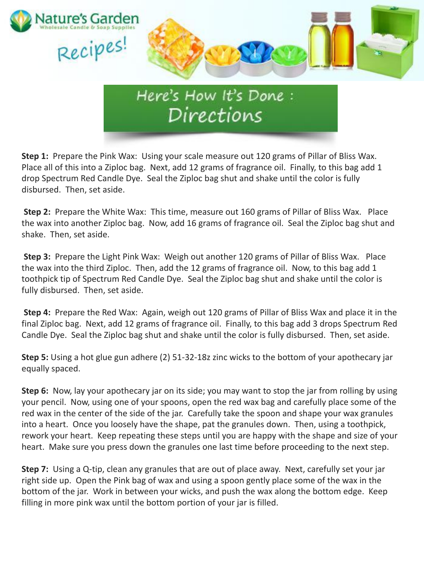

**Step 1:** Prepare the Pink Wax: Using your scale measure out 120 grams of Pillar of Bliss Wax. Place all of this into a Ziploc bag. Next, add 12 grams of fragrance oil. Finally, to this bag add 1 drop Spectrum Red Candle Dye. Seal the Ziploc bag shut and shake until the color is fully disbursed. Then, set aside.

**Step 2:** Prepare the White Wax: This time, measure out 160 grams of Pillar of Bliss Wax. Place the wax into another Ziploc bag. Now, add 16 grams of fragrance oil. Seal the Ziploc bag shut and shake. Then, set aside.

**Step 3:** Prepare the Light Pink Wax: Weigh out another 120 grams of Pillar of Bliss Wax. Place the wax into the third Ziploc. Then, add the 12 grams of fragrance oil. Now, to this bag add 1 toothpick tip of Spectrum Red Candle Dye. Seal the Ziploc bag shut and shake until the color is fully disbursed. Then, set aside.

**Step 4:** Prepare the Red Wax: Again, weigh out 120 grams of Pillar of Bliss Wax and place it in the final Ziploc bag. Next, add 12 grams of fragrance oil. Finally, to this bag add 3 drops Spectrum Red Candle Dye. Seal the Ziploc bag shut and shake until the color is fully disbursed. Then, set aside.

**Step 5:** Using a hot glue gun adhere (2) 51-32-18z zinc wicks to the bottom of your apothecary jar equally spaced.

**Step 6:** Now, lay your apothecary jar on its side; you may want to stop the jar from rolling by using your pencil. Now, using one of your spoons, open the red wax bag and carefully place some of the red wax in the center of the side of the jar. Carefully take the spoon and shape your wax granules into a heart. Once you loosely have the shape, pat the granules down. Then, using a toothpick, rework your heart. Keep repeating these steps until you are happy with the shape and size of your heart. Make sure you press down the granules one last time before proceeding to the next step.

**Step 7:** Using a Q-tip, clean any granules that are out of place away. Next, carefully set your jar right side up. Open the Pink bag of wax and using a spoon gently place some of the wax in the bottom of the jar. Work in between your wicks, and push the wax along the bottom edge. Keep filling in more pink wax until the bottom portion of your jar is filled.